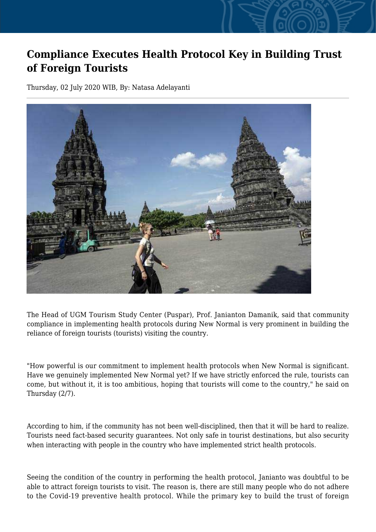## **Compliance Executes Health Protocol Key in Building Trust of Foreign Tourists**

Thursday, 02 July 2020 WIB, By: Natasa Adelayanti



The Head of UGM Tourism Study Center (Puspar), Prof. Janianton Damanik, said that community compliance in implementing health protocols during New Normal is very prominent in building the reliance of foreign tourists (tourists) visiting the country.

"How powerful is our commitment to implement health protocols when New Normal is significant. Have we genuinely implemented New Normal yet? If we have strictly enforced the rule, tourists can come, but without it, it is too ambitious, hoping that tourists will come to the country," he said on Thursday (2/7).

According to him, if the community has not been well-disciplined, then that it will be hard to realize. Tourists need fact-based security guarantees. Not only safe in tourist destinations, but also security when interacting with people in the country who have implemented strict health protocols.

Seeing the condition of the country in performing the health protocol, Janianto was doubtful to be able to attract foreign tourists to visit. The reason is, there are still many people who do not adhere to the Covid-19 preventive health protocol. While the primary key to build the trust of foreign